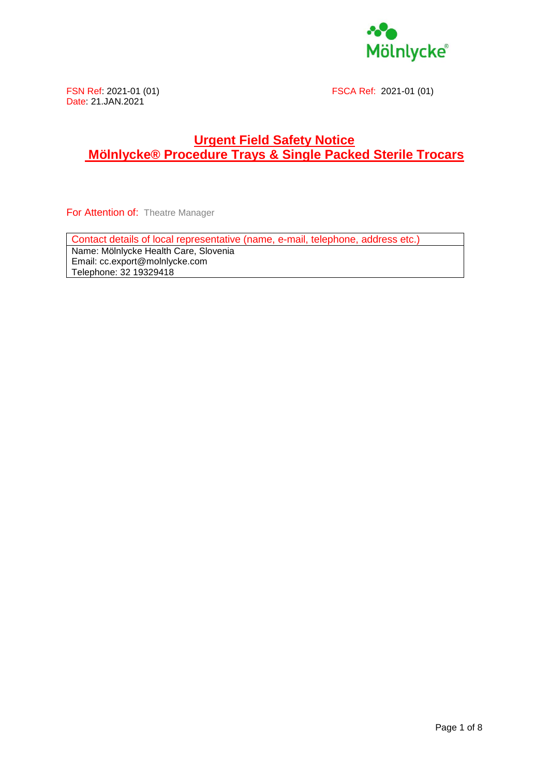

FSN Ref: 2021-01 (01) FSCA Ref: 2021-01 (01)

### **Urgent Field Safety Notice Mölnlycke® Procedure Trays & Single Packed Sterile Trocars**

For Attention of: Theatre Manager

Contact details of local representative (name, e-mail, telephone, address etc.) Name: Mölnlycke Health Care, Slovenia Email: cc.export@molnlycke.com

Telephone: 32 19329418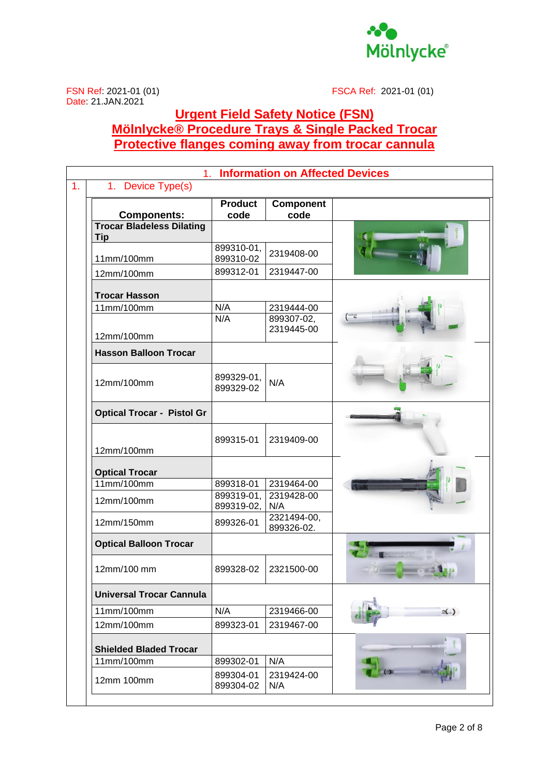

FSN Ref: 2021-01 (01) FSCA Ref: 2021-01 (01)

## **Urgent Field Safety Notice (FSN) Mölnlycke® Procedure Trays & Single Packed Trocar Protective flanges coming away from trocar cannula**

| <b>Information on Affected Devices</b><br>1 <sub>1</sub> |                          |                           |                                                                                                                                                                                                                                                                                                                                                     |
|----------------------------------------------------------|--------------------------|---------------------------|-----------------------------------------------------------------------------------------------------------------------------------------------------------------------------------------------------------------------------------------------------------------------------------------------------------------------------------------------------|
| 1. Device Type(s)                                        |                          |                           |                                                                                                                                                                                                                                                                                                                                                     |
| <b>Components:</b>                                       | <b>Product</b><br>code   | Component<br>code         |                                                                                                                                                                                                                                                                                                                                                     |
| <b>Trocar Bladeless Dilating</b>                         |                          |                           |                                                                                                                                                                                                                                                                                                                                                     |
| <b>Tip</b>                                               | 899310-01,               |                           |                                                                                                                                                                                                                                                                                                                                                     |
| 11mm/100mm                                               | 899310-02                | 2319408-00                |                                                                                                                                                                                                                                                                                                                                                     |
| 12mm/100mm                                               | 899312-01                | 2319447-00                |                                                                                                                                                                                                                                                                                                                                                     |
| <b>Trocar Hasson</b>                                     |                          |                           |                                                                                                                                                                                                                                                                                                                                                     |
| 11mm/100mm                                               | N/A                      | 2319444-00                |                                                                                                                                                                                                                                                                                                                                                     |
|                                                          | N/A                      | 899307-02,                |                                                                                                                                                                                                                                                                                                                                                     |
| 12mm/100mm                                               |                          | 2319445-00                |                                                                                                                                                                                                                                                                                                                                                     |
| <b>Hasson Balloon Trocar</b>                             |                          |                           |                                                                                                                                                                                                                                                                                                                                                     |
|                                                          |                          |                           |                                                                                                                                                                                                                                                                                                                                                     |
| 12mm/100mm                                               | 899329-01,<br>899329-02  | N/A                       |                                                                                                                                                                                                                                                                                                                                                     |
| <b>Optical Trocar - Pistol Gr</b>                        |                          |                           |                                                                                                                                                                                                                                                                                                                                                     |
| 12mm/100mm                                               | 899315-01                | 2319409-00                |                                                                                                                                                                                                                                                                                                                                                     |
| <b>Optical Trocar</b>                                    |                          |                           |                                                                                                                                                                                                                                                                                                                                                     |
| 11mm/100mm                                               | 899318-01                | 2319464-00                |                                                                                                                                                                                                                                                                                                                                                     |
| 12mm/100mm                                               | 899319-01,<br>899319-02, | 2319428-00<br>N/A         |                                                                                                                                                                                                                                                                                                                                                     |
| 12mm/150mm                                               | 899326-01                | 2321494-00,<br>899326-02. |                                                                                                                                                                                                                                                                                                                                                     |
| <b>Optical Balloon Trocar</b>                            |                          |                           | <b>APARTMENT DE L'ANNE</b>                                                                                                                                                                                                                                                                                                                          |
| 12mm/100 mm                                              | 899328-02                | 2321500-00                | $\begin{picture}(180,10) \put(0,0){\line(1,0){10}} \put(10,0){\line(1,0){10}} \put(10,0){\line(1,0){10}} \put(10,0){\line(1,0){10}} \put(10,0){\line(1,0){10}} \put(10,0){\line(1,0){10}} \put(10,0){\line(1,0){10}} \put(10,0){\line(1,0){10}} \put(10,0){\line(1,0){10}} \put(10,0){\line(1,0){10}} \put(10,0){\line(1,0){10}} \put(10,0){\line($ |
| <b>Universal Trocar Cannula</b>                          |                          |                           |                                                                                                                                                                                                                                                                                                                                                     |
| 11mm/100mm                                               | N/A                      | 2319466-00                | $\leq$                                                                                                                                                                                                                                                                                                                                              |
| 12mm/100mm                                               | 899323-01                | 2319467-00                |                                                                                                                                                                                                                                                                                                                                                     |
| <b>Shielded Bladed Trocar</b>                            |                          |                           |                                                                                                                                                                                                                                                                                                                                                     |
| 11mm/100mm                                               | 899302-01                | N/A                       |                                                                                                                                                                                                                                                                                                                                                     |
| 12mm 100mm                                               | 899304-01<br>899304-02   | 2319424-00<br>N/A         |                                                                                                                                                                                                                                                                                                                                                     |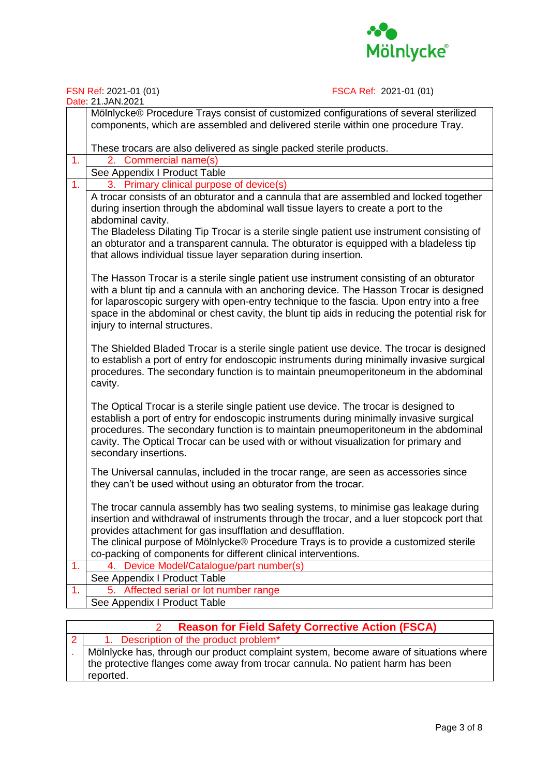

FSN Ref: 2021-01 (01) FSCA Ref: 2021-01 (01)

|                | Date: 21.JAN.2021                                                                                                                                                                                                                                                                                                                                                                                                |  |  |
|----------------|------------------------------------------------------------------------------------------------------------------------------------------------------------------------------------------------------------------------------------------------------------------------------------------------------------------------------------------------------------------------------------------------------------------|--|--|
|                | Mölnlycke® Procedure Trays consist of customized configurations of several sterilized<br>components, which are assembled and delivered sterile within one procedure Tray.                                                                                                                                                                                                                                        |  |  |
|                |                                                                                                                                                                                                                                                                                                                                                                                                                  |  |  |
|                | These trocars are also delivered as single packed sterile products.                                                                                                                                                                                                                                                                                                                                              |  |  |
| 1.             | 2. Commercial name(s)                                                                                                                                                                                                                                                                                                                                                                                            |  |  |
|                | See Appendix I Product Table                                                                                                                                                                                                                                                                                                                                                                                     |  |  |
| 1.             | 3. Primary clinical purpose of device(s)                                                                                                                                                                                                                                                                                                                                                                         |  |  |
|                | A trocar consists of an obturator and a cannula that are assembled and locked together<br>during insertion through the abdominal wall tissue layers to create a port to the<br>abdominal cavity.                                                                                                                                                                                                                 |  |  |
|                | The Bladeless Dilating Tip Trocar is a sterile single patient use instrument consisting of<br>an obturator and a transparent cannula. The obturator is equipped with a bladeless tip<br>that allows individual tissue layer separation during insertion.                                                                                                                                                         |  |  |
|                | The Hasson Trocar is a sterile single patient use instrument consisting of an obturator<br>with a blunt tip and a cannula with an anchoring device. The Hasson Trocar is designed<br>for laparoscopic surgery with open-entry technique to the fascia. Upon entry into a free<br>space in the abdominal or chest cavity, the blunt tip aids in reducing the potential risk for<br>injury to internal structures. |  |  |
|                | The Shielded Bladed Trocar is a sterile single patient use device. The trocar is designed<br>to establish a port of entry for endoscopic instruments during minimally invasive surgical<br>procedures. The secondary function is to maintain pneumoperitoneum in the abdominal<br>cavity.                                                                                                                        |  |  |
|                | The Optical Trocar is a sterile single patient use device. The trocar is designed to<br>establish a port of entry for endoscopic instruments during minimally invasive surgical<br>procedures. The secondary function is to maintain pneumoperitoneum in the abdominal<br>cavity. The Optical Trocar can be used with or without visualization for primary and<br>secondary insertions.                          |  |  |
|                | The Universal cannulas, included in the trocar range, are seen as accessories since<br>they can't be used without using an obturator from the trocar.                                                                                                                                                                                                                                                            |  |  |
|                | The trocar cannula assembly has two sealing systems, to minimise gas leakage during<br>insertion and withdrawal of instruments through the trocar, and a luer stopcock port that<br>provides attachment for gas insufflation and desufflation.<br>The clinical purpose of Mölnlycke® Procedure Trays is to provide a customized sterile                                                                          |  |  |
|                | co-packing of components for different clinical interventions.                                                                                                                                                                                                                                                                                                                                                   |  |  |
| 1 <sub>r</sub> | 4. Device Model/Catalogue/part number(s)                                                                                                                                                                                                                                                                                                                                                                         |  |  |
|                | See Appendix I Product Table                                                                                                                                                                                                                                                                                                                                                                                     |  |  |
| 1.             | Affected serial or lot number range                                                                                                                                                                                                                                                                                                                                                                              |  |  |
|                | See Appendix I Product Table                                                                                                                                                                                                                                                                                                                                                                                     |  |  |

| <b>Reason for Field Safety Corrective Action (FSCA)</b> |
|---------------------------------------------------------|
|---------------------------------------------------------|

2 . 1. Description of the product problem\* Mölnlycke has, through our product complaint system, become aware of situations where the protective flanges come away from trocar cannula. No patient harm has been reported.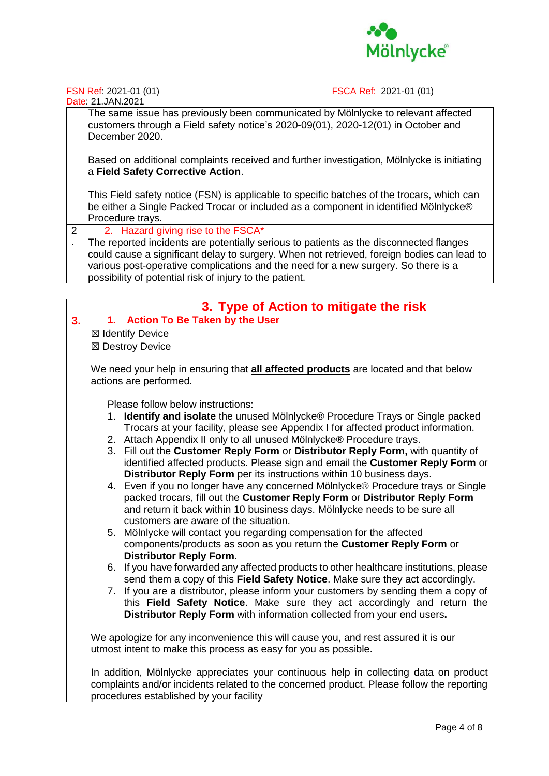

FSN Ref: 2021-01 (01) FSCA Ref: 2021-01 (01)

|   | The same issue has previously been communicated by Mölnlycke to relevant affected<br>customers through a Field safety notice's 2020-09(01), 2020-12(01) in October and<br>December 2020.               |
|---|--------------------------------------------------------------------------------------------------------------------------------------------------------------------------------------------------------|
|   | Based on additional complaints received and further investigation, Mölnlycke is initiating<br>a Field Safety Corrective Action.                                                                        |
|   | This Field safety notice (FSN) is applicable to specific batches of the trocars, which can<br>be either a Single Packed Trocar or included as a component in identified Mölnlycke®<br>Procedure trays. |
| 2 | 2. Hazard giving rise to the FSCA*                                                                                                                                                                     |
|   | The reported incidents are potentially serious to patients as the disconnected flanges                                                                                                                 |

. The reported incidents are potentially serious to patients as the disconnected flanges could cause a significant delay to surgery. When not retrieved, foreign bodies can lead to various post-operative complications and the need for a new surgery. So there is a possibility of potential risk of injury to the patient.

|    | 3. Type of Action to mitigate the risk                                                                                                                |  |  |  |
|----|-------------------------------------------------------------------------------------------------------------------------------------------------------|--|--|--|
| 3. | 1. Action To Be Taken by the User                                                                                                                     |  |  |  |
|    | ⊠ Identify Device                                                                                                                                     |  |  |  |
|    | ⊠ Destroy Device                                                                                                                                      |  |  |  |
|    |                                                                                                                                                       |  |  |  |
|    | We need your help in ensuring that all affected products are located and that below                                                                   |  |  |  |
|    | actions are performed.                                                                                                                                |  |  |  |
|    |                                                                                                                                                       |  |  |  |
|    | Please follow below instructions:<br>1. Identify and isolate the unused Mölnlycke® Procedure Trays or Single packed                                   |  |  |  |
|    | Trocars at your facility, please see Appendix I for affected product information.                                                                     |  |  |  |
|    | 2. Attach Appendix II only to all unused Mölnlycke® Procedure trays.                                                                                  |  |  |  |
|    | 3. Fill out the Customer Reply Form or Distributor Reply Form, with quantity of                                                                       |  |  |  |
|    | identified affected products. Please sign and email the Customer Reply Form or                                                                        |  |  |  |
|    | Distributor Reply Form per its instructions within 10 business days.                                                                                  |  |  |  |
|    | 4. Even if you no longer have any concerned Mölnlycke® Procedure trays or Single                                                                      |  |  |  |
|    | packed trocars, fill out the Customer Reply Form or Distributor Reply Form                                                                            |  |  |  |
|    | and return it back within 10 business days. Mölnlycke needs to be sure all                                                                            |  |  |  |
|    | customers are aware of the situation.                                                                                                                 |  |  |  |
|    | 5. Mölnlycke will contact you regarding compensation for the affected<br>components/products as soon as you return the Customer Reply Form or         |  |  |  |
|    | <b>Distributor Reply Form.</b>                                                                                                                        |  |  |  |
|    | 6. If you have forwarded any affected products to other healthcare institutions, please                                                               |  |  |  |
|    | send them a copy of this Field Safety Notice. Make sure they act accordingly.                                                                         |  |  |  |
|    | 7. If you are a distributor, please inform your customers by sending them a copy of                                                                   |  |  |  |
|    | this Field Safety Notice. Make sure they act accordingly and return the                                                                               |  |  |  |
|    | Distributor Reply Form with information collected from your end users.                                                                                |  |  |  |
|    |                                                                                                                                                       |  |  |  |
|    | We apologize for any inconvenience this will cause you, and rest assured it is our<br>utmost intent to make this process as easy for you as possible. |  |  |  |
|    |                                                                                                                                                       |  |  |  |
|    | In addition, Mölnlycke appreciates your continuous help in collecting data on product                                                                 |  |  |  |
|    | complaints and/or incidents related to the concerned product. Please follow the reporting                                                             |  |  |  |
|    | procedures established by your facility                                                                                                               |  |  |  |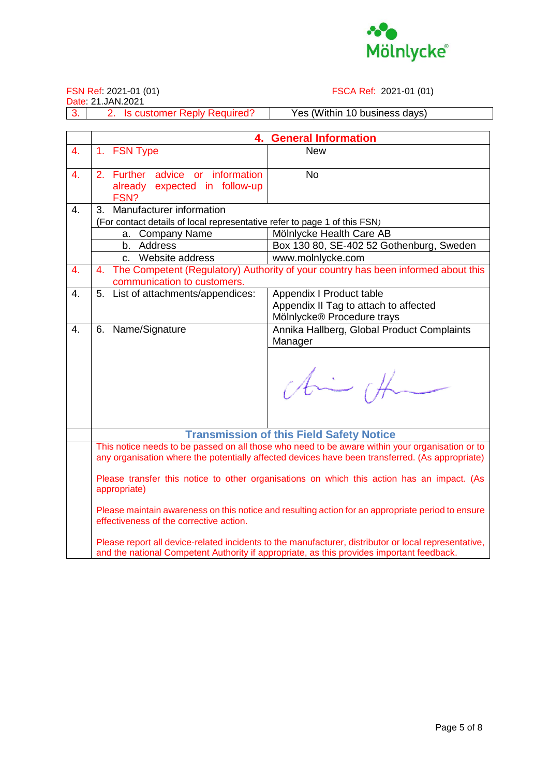

2. Is customer Reply Required? | Yes (Within 10 business days)

FSN Ref: 2021-01 (01) FSCA Ref: 2021-01 (01)

|                  |                                                                                                                                                                                                   | 4. General Information                                                            |  |
|------------------|---------------------------------------------------------------------------------------------------------------------------------------------------------------------------------------------------|-----------------------------------------------------------------------------------|--|
| 4.               | 1. FSN Type                                                                                                                                                                                       | <b>New</b>                                                                        |  |
|                  |                                                                                                                                                                                                   |                                                                                   |  |
| $\overline{4}$ . | 2. Further advice or information                                                                                                                                                                  | <b>No</b>                                                                         |  |
|                  | already expected in follow-up                                                                                                                                                                     |                                                                                   |  |
|                  | FSN?                                                                                                                                                                                              |                                                                                   |  |
| 4.               | 3. Manufacturer information                                                                                                                                                                       |                                                                                   |  |
|                  | (For contact details of local representative refer to page 1 of this FSN)                                                                                                                         | Mölnlycke Health Care AB                                                          |  |
|                  | a. Company Name<br>b. Address                                                                                                                                                                     | Box 130 80, SE-402 52 Gothenburg, Sweden                                          |  |
|                  | c. Website address                                                                                                                                                                                | www.molnlycke.com                                                                 |  |
| 4.               | 4.                                                                                                                                                                                                | The Competent (Regulatory) Authority of your country has been informed about this |  |
|                  | communication to customers.                                                                                                                                                                       |                                                                                   |  |
| $\overline{4}$ . | 5. List of attachments/appendices:                                                                                                                                                                | Appendix I Product table                                                          |  |
|                  |                                                                                                                                                                                                   | Appendix II Tag to attach to affected                                             |  |
|                  |                                                                                                                                                                                                   | Mölnlycke® Procedure trays                                                        |  |
| $\overline{4}$ . | 6. Name/Signature                                                                                                                                                                                 | Annika Hallberg, Global Product Complaints                                        |  |
|                  |                                                                                                                                                                                                   | Manager                                                                           |  |
|                  |                                                                                                                                                                                                   |                                                                                   |  |
|                  |                                                                                                                                                                                                   |                                                                                   |  |
|                  |                                                                                                                                                                                                   | this off                                                                          |  |
|                  |                                                                                                                                                                                                   |                                                                                   |  |
|                  |                                                                                                                                                                                                   |                                                                                   |  |
|                  |                                                                                                                                                                                                   |                                                                                   |  |
|                  |                                                                                                                                                                                                   | <b>Transmission of this Field Safety Notice</b>                                   |  |
|                  | This notice needs to be passed on all those who need to be aware within your organisation or to                                                                                                   |                                                                                   |  |
|                  | any organisation where the potentially affected devices have been transferred. (As appropriate)                                                                                                   |                                                                                   |  |
|                  | Please transfer this notice to other organisations on which this action has an impact. (As                                                                                                        |                                                                                   |  |
|                  | appropriate)                                                                                                                                                                                      |                                                                                   |  |
|                  | Please maintain awareness on this notice and resulting action for an appropriate period to ensure<br>effectiveness of the corrective action.                                                      |                                                                                   |  |
|                  | Please report all device-related incidents to the manufacturer, distributor or local representative,<br>and the national Competent Authority if appropriate, as this provides important feedback. |                                                                                   |  |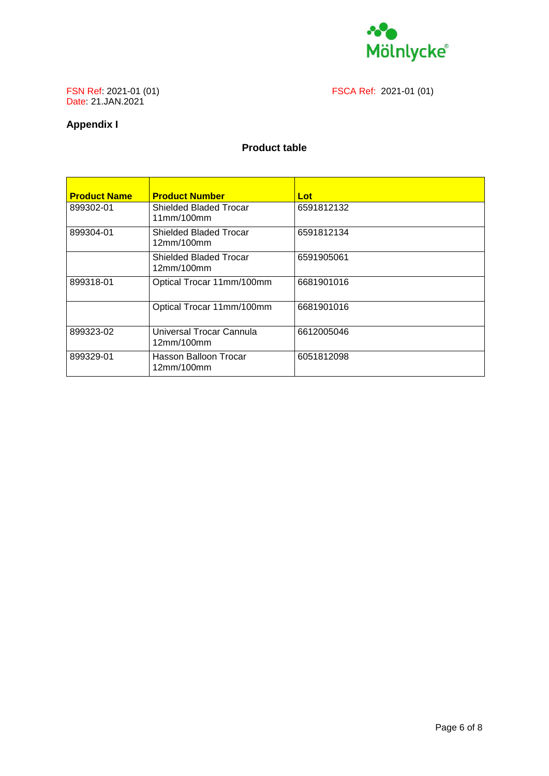

FSCA Ref: 2021-01 (01)

# FSN Ref: 2021-01 (01)<br>Date: 21.JAN.2021

#### **Appendix I**

#### **Product table**

| <b>Product Name</b> | <b>Product Number</b>                       | Lot        |
|---------------------|---------------------------------------------|------------|
| 899302-01           | <b>Shielded Bladed Trocar</b><br>11mm/100mm | 6591812132 |
| 899304-01           | <b>Shielded Bladed Trocar</b><br>12mm/100mm | 6591812134 |
|                     | <b>Shielded Bladed Trocar</b><br>12mm/100mm | 6591905061 |
| 899318-01           | Optical Trocar 11mm/100mm                   | 6681901016 |
|                     | Optical Trocar 11mm/100mm                   | 6681901016 |
| 899323-02           | Universal Trocar Cannula<br>12mm/100mm      | 6612005046 |
| 899329-01           | Hasson Balloon Trocar<br>12mm/100mm         | 6051812098 |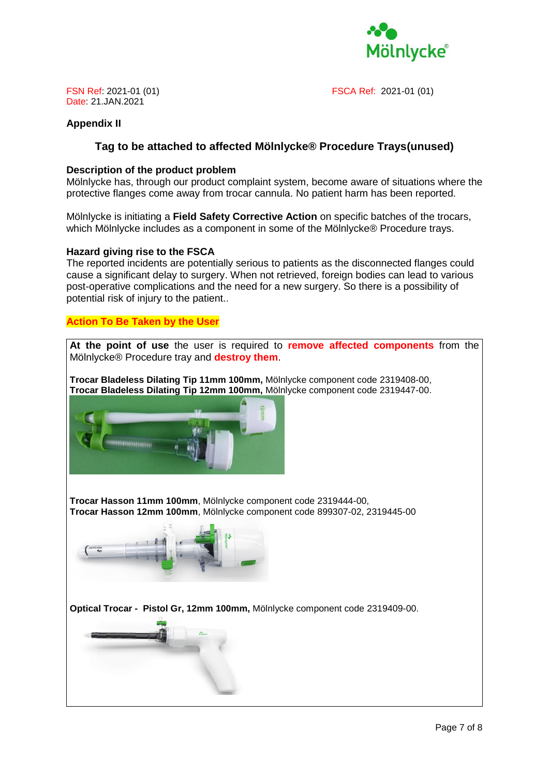

FSN Ref: 2021-01 (01) FSCA Ref: 2021-01 (01)

#### **Appendix II**

#### **Tag to be attached to affected Mölnlycke® Procedure Trays(unused)**

#### **Description of the product problem**

Mölnlycke has, through our product complaint system, become aware of situations where the protective flanges come away from trocar cannula. No patient harm has been reported.

Mölnlycke is initiating a **Field Safety Corrective Action** on specific batches of the trocars, which Mölnlycke includes as a component in some of the Mölnlycke® Procedure trays.

#### **Hazard giving rise to the FSCA**

The reported incidents are potentially serious to patients as the disconnected flanges could cause a significant delay to surgery. When not retrieved, foreign bodies can lead to various post-operative complications and the need for a new surgery. So there is a possibility of potential risk of injury to the patient..

#### **Action To Be Taken by the User**

**At the point of use** the user is required to **remove affected components** from the Mölnlycke® Procedure tray and **destroy them**.

**Trocar Bladeless Dilating Tip 11mm 100mm,** Mölnlycke component code 2319408-00, **Trocar Bladeless Dilating Tip 12mm 100mm,** Mölnlycke component code 2319447-00.



**Trocar Hasson 11mm 100mm**, Mölnlycke component code 2319444-00, **Trocar Hasson 12mm 100mm**, Mölnlycke component code 899307-02, 2319445-00



**Optical Trocar - Pistol Gr, 12mm 100mm,** Mölnlycke component code 2319409-00.